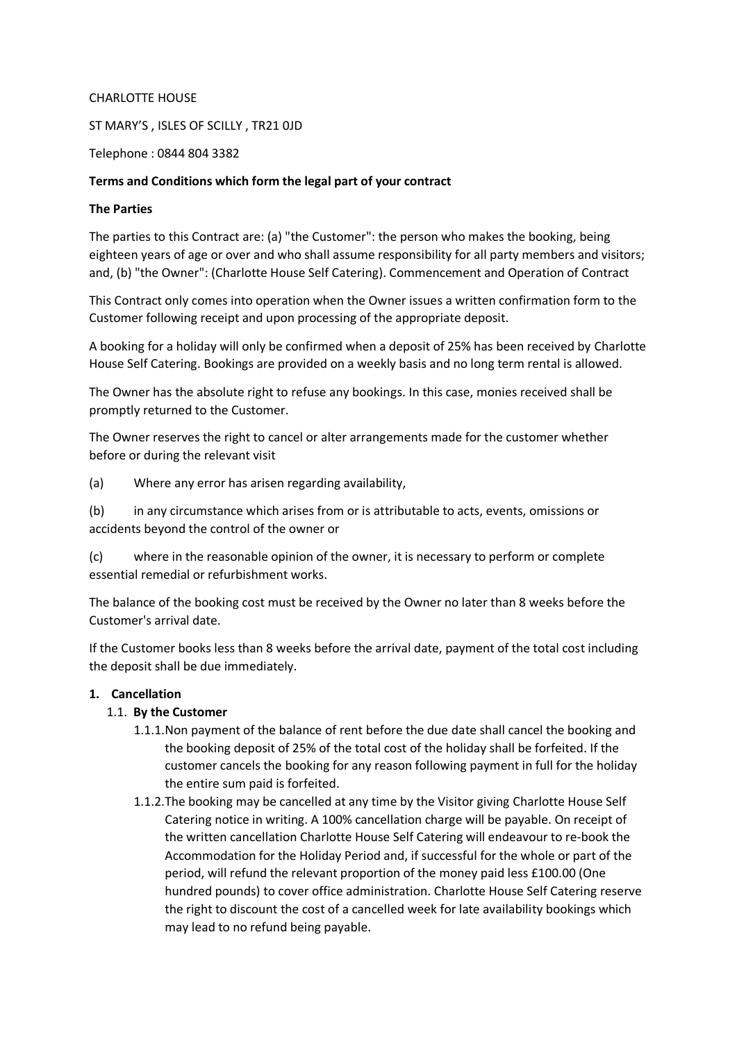#### CHARLOTTE HOUSE

ST MARY'S , ISLES OF SCILLY , TR21 0JD

Telephone : 0844 804 3382

#### **Terms and Conditions which form the legal part of your contract**

#### **The Parties**

The parties to this Contract are: (a) "the Customer": the person who makes the booking, being eighteen years of age or over and who shall assume responsibility for all party members and visitors; and, (b) "the Owner": (Charlotte House Self Catering). Commencement and Operation of Contract

This Contract only comes into operation when the Owner issues a written confirmation form to the Customer following receipt and upon processing of the appropriate deposit.

A booking for a holiday will only be confirmed when a deposit of 25% has been received by Charlotte House Self Catering. Bookings are provided on a weekly basis and no long term rental is allowed.

The Owner has the absolute right to refuse any bookings. In this case, monies received shall be promptly returned to the Customer.

The Owner reserves the right to cancel or alter arrangements made for the customer whether before or during the relevant visit

(a) Where any error has arisen regarding availability,

(b) in any circumstance which arises from or is attributable to acts, events, omissions or accidents beyond the control of the owner or

(c) where in the reasonable opinion of the owner, it is necessary to perform or complete essential remedial or refurbishment works.

The balance of the booking cost must be received by the Owner no later than 8 weeks before the Customer's arrival date.

If the Customer books less than 8 weeks before the arrival date, payment of the total cost including the deposit shall be due immediately.

### **1. Cancellation**

### 1.1. **By the Customer**

- 1.1.1.Non payment of the balance of rent before the due date shall cancel the booking and the booking deposit of 25% of the total cost of the holiday shall be forfeited. If the customer cancels the booking for any reason following payment in full for the holiday the entire sum paid is forfeited.
- 1.1.2.The booking may be cancelled at any time by the Visitor giving Charlotte House Self Catering notice in writing. A 100% cancellation charge will be payable. On receipt of the written cancellation Charlotte House Self Catering will endeavour to re-book the Accommodation for the Holiday Period and, if successful for the whole or part of the period, will refund the relevant proportion of the money paid less £100.00 (One hundred pounds) to cover office administration. Charlotte House Self Catering reserve the right to discount the cost of a cancelled week for late availability bookings which may lead to no refund being payable.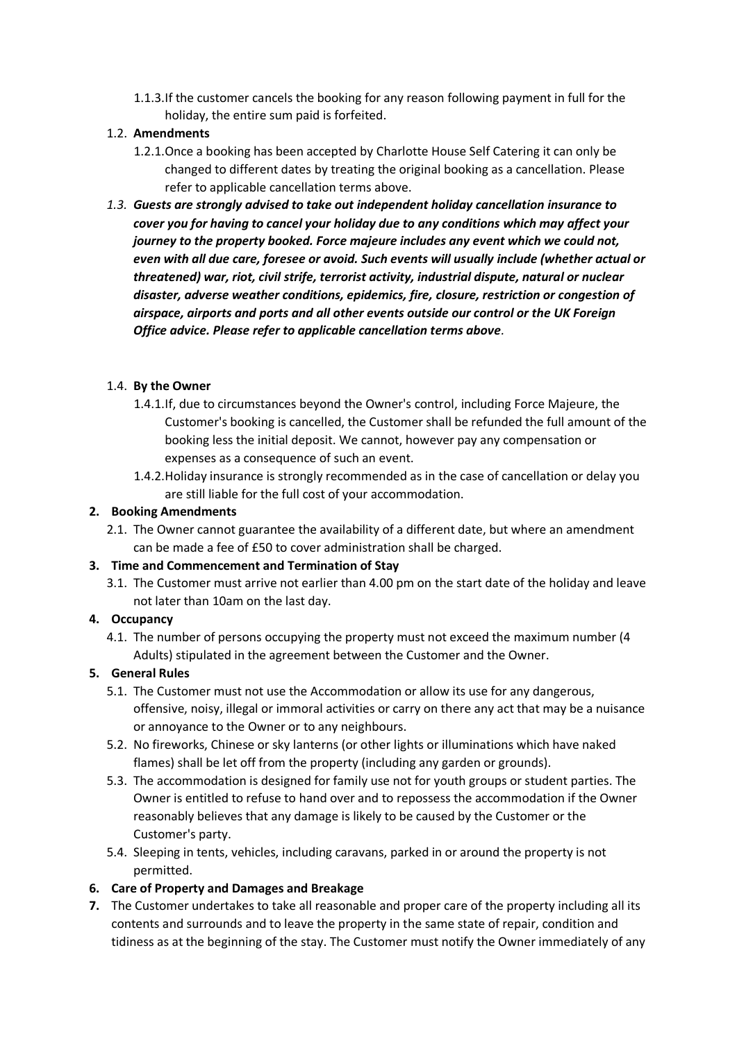1.1.3.If the customer cancels the booking for any reason following payment in full for the holiday, the entire sum paid is forfeited.

## 1.2. **Amendments**

- 1.2.1.Once a booking has been accepted by Charlotte House Self Catering it can only be changed to different dates by treating the original booking as a cancellation. Please refer to applicable cancellation terms above.
- *1.3. Guests are strongly advised to take out independent holiday cancellation insurance to cover you for having to cancel your holiday due to any conditions which may affect your journey to the property booked. Force majeure includes any event which we could not, even with all due care, foresee or avoid. Such events will usually include (whether actual or threatened) war, riot, civil strife, terrorist activity, industrial dispute, natural or nuclear disaster, adverse weather conditions, epidemics, fire, closure, restriction or congestion of airspace, airports and ports and all other events outside our control or the UK Foreign Office advice. Please refer to applicable cancellation terms above.*

## 1.4. **By the Owner**

- 1.4.1.If, due to circumstances beyond the Owner's control, including Force Majeure, the Customer's booking is cancelled, the Customer shall be refunded the full amount of the booking less the initial deposit. We cannot, however pay any compensation or expenses as a consequence of such an event.
- 1.4.2.Holiday insurance is strongly recommended as in the case of cancellation or delay you are still liable for the full cost of your accommodation.

### **2. Booking Amendments**

2.1. The Owner cannot guarantee the availability of a different date, but where an amendment can be made a fee of £50 to cover administration shall be charged.

### **3. Time and Commencement and Termination of Stay**

3.1. The Customer must arrive not earlier than 4.00 pm on the start date of the holiday and leave not later than 10am on the last day.

### **4. Occupancy**

4.1. The number of persons occupying the property must not exceed the maximum number (4 Adults) stipulated in the agreement between the Customer and the Owner.

# **5. General Rules**

- 5.1. The Customer must not use the Accommodation or allow its use for any dangerous, offensive, noisy, illegal or immoral activities or carry on there any act that may be a nuisance or annoyance to the Owner or to any neighbours.
- 5.2. No fireworks, Chinese or sky lanterns (or other lights or illuminations which have naked flames) shall be let off from the property (including any garden or grounds).
- 5.3. The accommodation is designed for family use not for youth groups or student parties. The Owner is entitled to refuse to hand over and to repossess the accommodation if the Owner reasonably believes that any damage is likely to be caused by the Customer or the Customer's party.
- 5.4. Sleeping in tents, vehicles, including caravans, parked in or around the property is not permitted.

### **6. Care of Property and Damages and Breakage**

**7.** The Customer undertakes to take all reasonable and proper care of the property including all its contents and surrounds and to leave the property in the same state of repair, condition and tidiness as at the beginning of the stay. The Customer must notify the Owner immediately of any